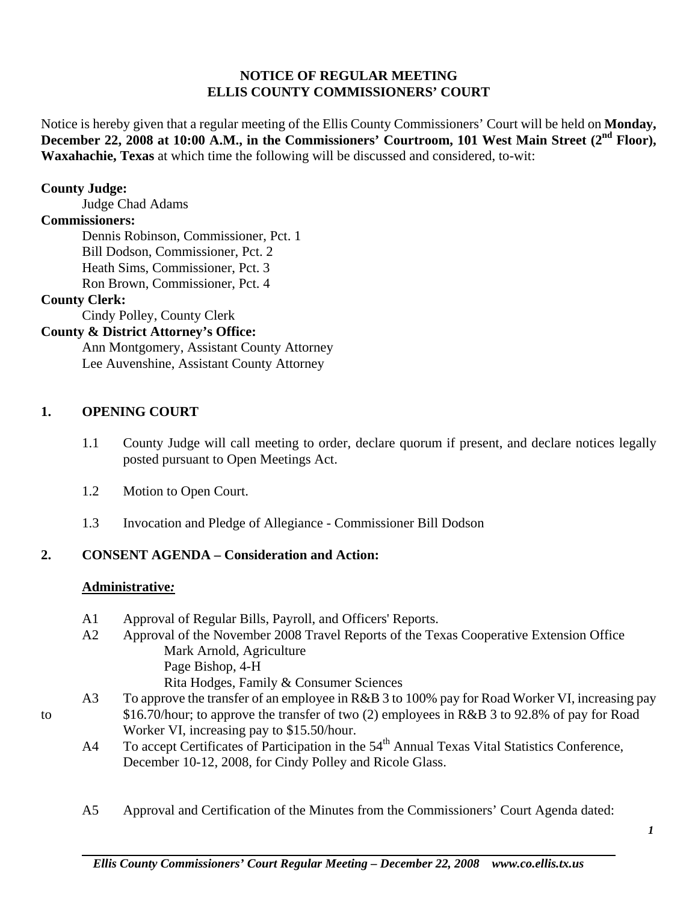### **NOTICE OF REGULAR MEETING ELLIS COUNTY COMMISSIONERS' COURT**

Notice is hereby given that a regular meeting of the Ellis County Commissioners' Court will be held on **Monday,**  December 22, 2008 at 10:00 A.M., in the Commissioners' Courtroom, 101 West Main Street (2<sup>nd</sup> Floor), **Waxahachie, Texas** at which time the following will be discussed and considered, to-wit:

### **County Judge:**

Judge Chad Adams

### **Commissioners:**

 Dennis Robinson, Commissioner, Pct. 1 Bill Dodson, Commissioner, Pct. 2 Heath Sims, Commissioner, Pct. 3 Ron Brown, Commissioner, Pct. 4

### **County Clerk:**

Cindy Polley, County Clerk

## **County & District Attorney's Office:**

 Ann Montgomery, Assistant County Attorney Lee Auvenshine, Assistant County Attorney

### **1. OPENING COURT**

- 1.1 County Judge will call meeting to order, declare quorum if present, and declare notices legally posted pursuant to Open Meetings Act.
- 1.2 Motion to Open Court.
- 1.3 Invocation and Pledge of Allegiance Commissioner Bill Dodson

## **2. CONSENT AGENDA – Consideration and Action:**

#### **Administrative***:*

- A1 Approval of Regular Bills, Payroll, and Officers' Reports.
- A2 Approval of the November 2008 Travel Reports of the Texas Cooperative Extension Office Mark Arnold, Agriculture Page Bishop, 4-H Rita Hodges, Family & Consumer Sciences
- A3 To approve the transfer of an employee in R&B 3 to 100% pay for Road Worker VI, increasing pay to \$16.70/hour; to approve the transfer of two (2) employees in R&B 3 to 92.8% of pay for Road Worker VI, increasing pay to \$15.50/hour.
	- A4 To accept Certificates of Participation in the 54<sup>th</sup> Annual Texas Vital Statistics Conference, December 10-12, 2008, for Cindy Polley and Ricole Glass.
	- A5 Approval and Certification of the Minutes from the Commissioners' Court Agenda dated: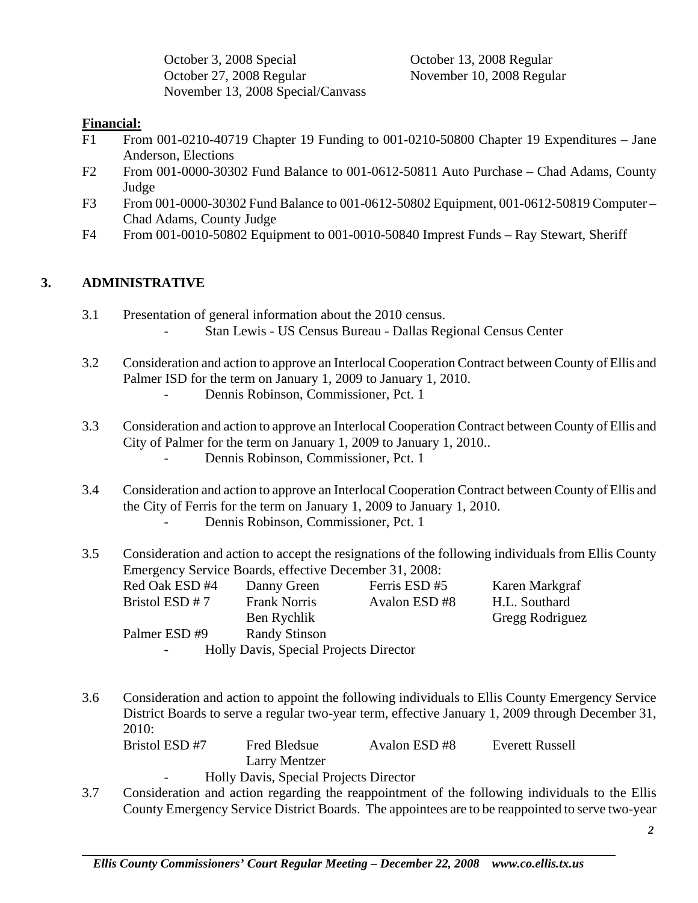October 3, 2008 Special October 13, 2008 Regular October 27, 2008 Regular November 10, 2008 Regular November 13, 2008 Special/Canvass

## **Financial:**

- F1 From 001-0210-40719 Chapter 19 Funding to 001-0210-50800 Chapter 19 Expenditures Jane Anderson, Elections
- F2 From 001-0000-30302 Fund Balance to 001-0612-50811 Auto Purchase Chad Adams, County Judge
- F3 From 001-0000-30302 Fund Balance to 001-0612-50802 Equipment, 001-0612-50819 Computer Chad Adams, County Judge
- F4 From 001-0010-50802 Equipment to 001-0010-50840 Imprest Funds Ray Stewart, Sheriff

# **3. ADMINISTRATIVE**

- 3.1 Presentation of general information about the 2010 census. - Stan Lewis - US Census Bureau - Dallas Regional Census Center
- 3.2 Consideration and action to approve an Interlocal Cooperation Contract between County of Ellis and Palmer ISD for the term on January 1, 2009 to January 1, 2010. Dennis Robinson, Commissioner, Pct. 1
- 3.3 Consideration and action to approve an Interlocal Cooperation Contract between County of Ellis and City of Palmer for the term on January 1, 2009 to January 1, 2010.. Dennis Robinson, Commissioner, Pct. 1
- 3.4 Consideration and action to approve an Interlocal Cooperation Contract between County of Ellis and the City of Ferris for the term on January 1, 2009 to January 1, 2010. Dennis Robinson, Commissioner, Pct. 1
- 3.5 Consideration and action to accept the resignations of the following individuals from Ellis County Emergency Service Boards, effective December 31, 2008:

| Red Oak ESD #4                         | Danny Green          | Ferris ESD #5 | Karen Markgraf  |  |  |
|----------------------------------------|----------------------|---------------|-----------------|--|--|
| Bristol ESD # 7                        | <b>Frank Norris</b>  | Avalon ESD #8 | H.L. Southard   |  |  |
|                                        | Ben Rychlik          |               | Gregg Rodriguez |  |  |
| Palmer ESD #9                          | <b>Randy Stinson</b> |               |                 |  |  |
| Holly Davis, Special Projects Director |                      |               |                 |  |  |

3.6 Consideration and action to appoint the following individuals to Ellis County Emergency Service District Boards to serve a regular two-year term, effective January 1, 2009 through December 31, 2010:

 Bristol ESD #7 Fred Bledsue Avalon ESD #8 Everett Russell Larry Mentzer

- Holly Davis, Special Projects Director
- 3.7 Consideration and action regarding the reappointment of the following individuals to the Ellis County Emergency Service District Boards. The appointees are to be reappointed to serve two-year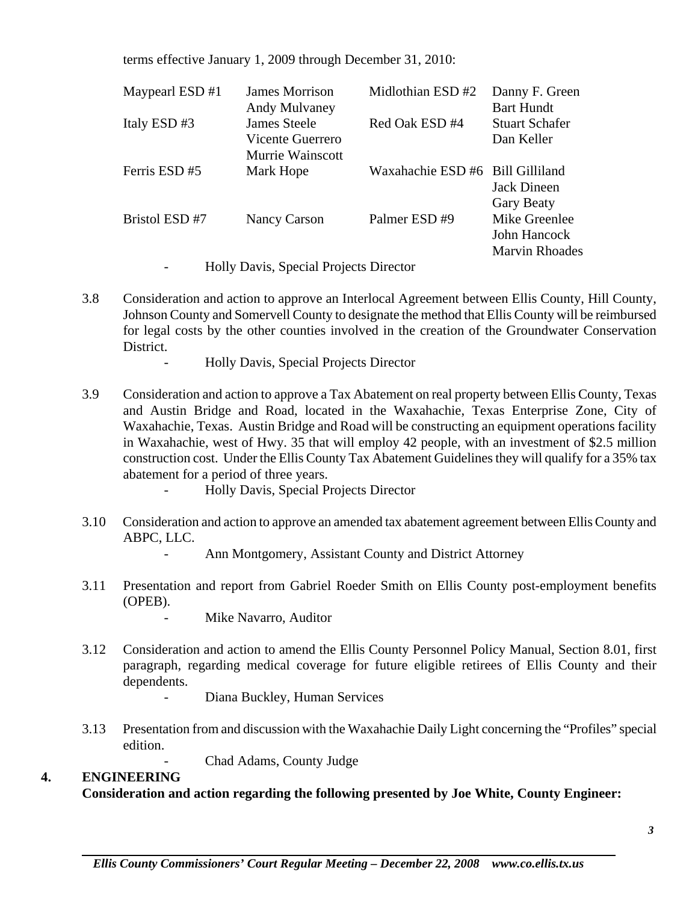terms effective January 1, 2009 through December 31, 2010:

| Maypearl ESD #1 | James Morrison<br><b>Andy Mulvaney</b>                      | Midlothian ESD #2                | Danny F. Green<br><b>Bart Hundt</b>                    |
|-----------------|-------------------------------------------------------------|----------------------------------|--------------------------------------------------------|
| Italy ESD#3     | James Steele<br>Vicente Guerrero<br><b>Murrie Wainscott</b> | Red Oak ESD #4                   | <b>Stuart Schafer</b><br>Dan Keller                    |
| Ferris ESD #5   | Mark Hope                                                   | Waxahachie ESD #6 Bill Gilliland | Jack Dineen<br><b>Gary Beaty</b>                       |
| Bristol ESD #7  | Nancy Carson                                                | Palmer ESD#9                     | Mike Greenlee<br>John Hancock<br><b>Marvin Rhoades</b> |

- Holly Davis, Special Projects Director
- 3.8 Consideration and action to approve an Interlocal Agreement between Ellis County, Hill County, Johnson County and Somervell County to designate the method that Ellis County will be reimbursed for legal costs by the other counties involved in the creation of the Groundwater Conservation District.
	- Holly Davis, Special Projects Director
- 3.9 Consideration and action to approve a Tax Abatement on real property between Ellis County, Texas and Austin Bridge and Road, located in the Waxahachie, Texas Enterprise Zone, City of Waxahachie, Texas. Austin Bridge and Road will be constructing an equipment operations facility in Waxahachie, west of Hwy. 35 that will employ 42 people, with an investment of \$2.5 million construction cost. Under the Ellis County Tax Abatement Guidelines they will qualify for a 35% tax abatement for a period of three years.
	- Holly Davis, Special Projects Director
- 3.10 Consideration and action to approve an amended tax abatement agreement between Ellis County and ABPC, LLC.
	- Ann Montgomery, Assistant County and District Attorney
- 3.11 Presentation and report from Gabriel Roeder Smith on Ellis County post-employment benefits (OPEB).
	- Mike Navarro, Auditor
- 3.12 Consideration and action to amend the Ellis County Personnel Policy Manual, Section 8.01, first paragraph, regarding medical coverage for future eligible retirees of Ellis County and their dependents.
	- Diana Buckley, Human Services
- 3.13 Presentation from and discussion with the Waxahachie Daily Light concerning the "Profiles" special edition.
	- Chad Adams, County Judge

### **4. ENGINEERING**

 **Consideration and action regarding the following presented by Joe White, County Engineer:**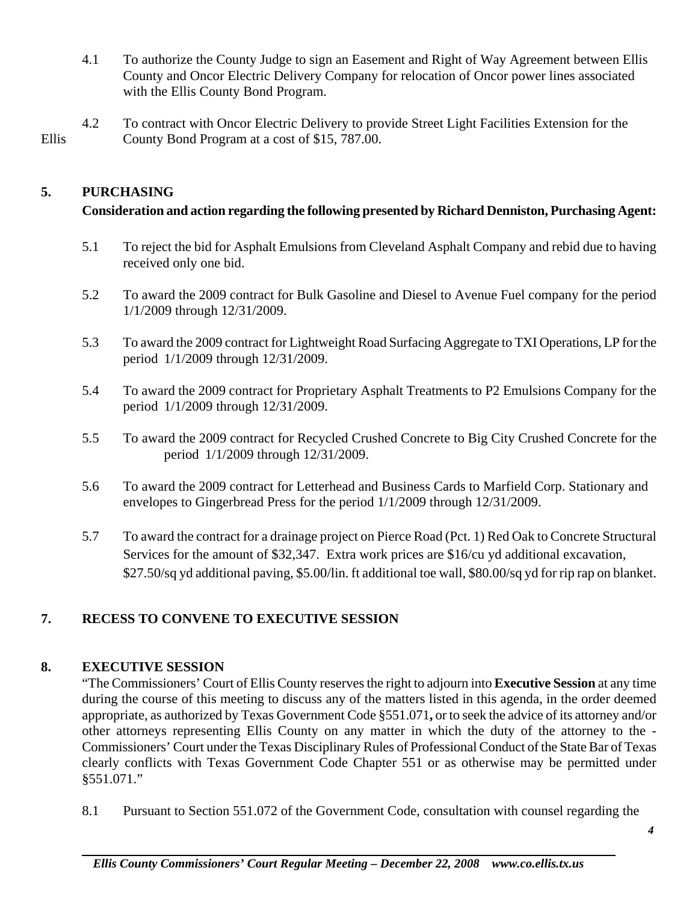- 4.1 To authorize the County Judge to sign an Easement and Right of Way Agreement between Ellis County and Oncor Electric Delivery Company for relocation of Oncor power lines associated with the Ellis County Bond Program.
- 4.2 To contract with Oncor Electric Delivery to provide Street Light Facilities Extension for the Ellis County Bond Program at a cost of \$15, 787.00.

## **5. PURCHASING**

## **Consideration and action regarding the following presented by Richard Denniston, Purchasing Agent:**

- 5.1 To reject the bid for Asphalt Emulsions from Cleveland Asphalt Company and rebid due to having received only one bid.
- 5.2 To award the 2009 contract for Bulk Gasoline and Diesel to Avenue Fuel company for the period 1/1/2009 through 12/31/2009.
- 5.3 To award the 2009 contract for Lightweight Road Surfacing Aggregate to TXI Operations, LP for the period 1/1/2009 through 12/31/2009.
- 5.4 To award the 2009 contract for Proprietary Asphalt Treatments to P2 Emulsions Company for the period 1/1/2009 through 12/31/2009.
- 5.5 To award the 2009 contract for Recycled Crushed Concrete to Big City Crushed Concrete for the period 1/1/2009 through 12/31/2009.
- 5.6 To award the 2009 contract for Letterhead and Business Cards to Marfield Corp. Stationary and envelopes to Gingerbread Press for the period 1/1/2009 through 12/31/2009.
- 5.7 To award the contract for a drainage project on Pierce Road (Pct. 1) Red Oak to Concrete Structural Services for the amount of \$32,347. Extra work prices are \$16/cu yd additional excavation, \$27.50/sq yd additional paving, \$5.00/lin. ft additional toe wall, \$80.00/sq yd for rip rap on blanket.

# **7. RECESS TO CONVENE TO EXECUTIVE SESSION**

### **8. EXECUTIVE SESSION**

"The Commissioners' Court of Ellis County reserves the right to adjourn into **Executive Session** at any time during the course of this meeting to discuss any of the matters listed in this agenda, in the order deemed appropriate, as authorized by Texas Government Code §551.071**,** or to seek the advice of its attorney and/or other attorneys representing Ellis County on any matter in which the duty of the attorney to the - Commissioners' Court under the Texas Disciplinary Rules of Professional Conduct of the State Bar of Texas clearly conflicts with Texas Government Code Chapter 551 or as otherwise may be permitted under §551.071."

8.1 Pursuant to Section 551.072 of the Government Code, consultation with counsel regarding the